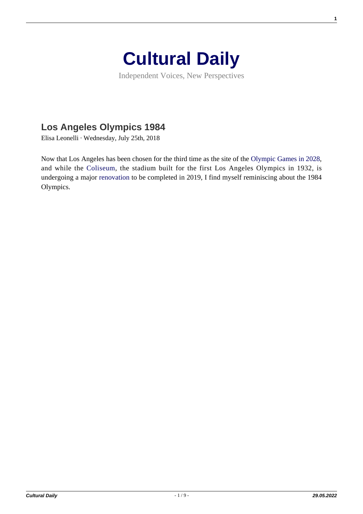

Independent Voices, New Perspectives

## **[Los Angeles Olympics 1984](https://culturaldaily.com/los-angeles-olympics-1984/)**

Elisa Leonelli · Wednesday, July 25th, 2018

Now that Los Angeles has been chosen for the third time as the site of the [Olympic Games in 2028,](https://www.olympic.org/la-2028) and while the [Coliseum](https://en.wikipedia.org/wiki/Los_Angeles_Memorial_Coliseum), the stadium built for the first Los Angeles Olympics in 1932, is undergoing a major [renovation](https://www.popularmechanics.com/technology/infrastructure/a28713125/los-angeles-memorial-coliseum-renovation/) to be completed in 2019, I find myself reminiscing about the 1984 Olympics.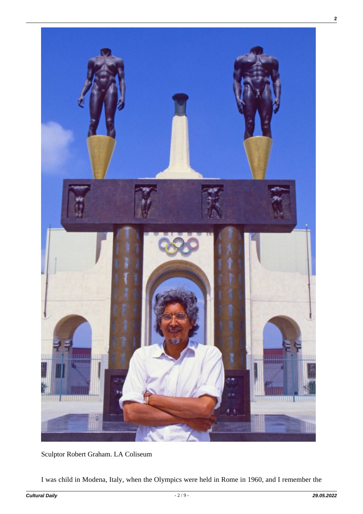

Sculptor Robert Graham. LA Coliseum

I was child in Modena, Italy, when the Olympics were held in Rome in 1960, and I remember the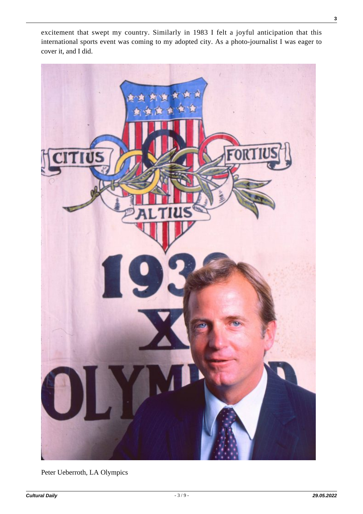excitement that swept my country. Similarly in 1983 I felt a joyful anticipation that this international sports event was coming to my adopted city. As a photo-journalist I was eager to cover it, and I did.



Peter Ueberroth, LA Olympics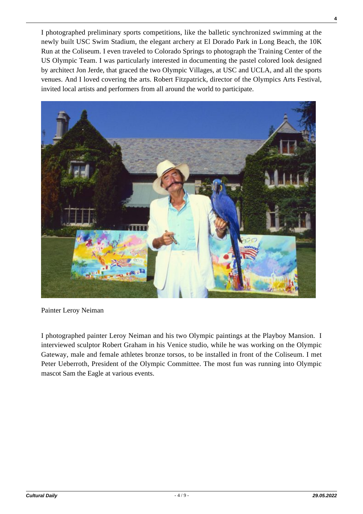I photographed preliminary sports competitions, like the balletic synchronized swimming at the newly built USC Swim Stadium, the elegant archery at El Dorado Park in Long Beach, the 10K Run at the Coliseum. I even traveled to Colorado Springs to photograph the Training Center of the US Olympic Team. I was particularly interested in documenting the pastel colored look designed by architect Jon Jerde, that graced the two Olympic Villages, at USC and UCLA, and all the sports venues. And I loved covering the arts. Robert Fitzpatrick, director of the Olympics Arts Festival, invited local artists and performers from all around the world to participate.



Painter Leroy Neiman

I photographed painter Leroy Neiman and his two Olympic paintings at the Playboy Mansion. I interviewed sculptor Robert Graham in his Venice studio, while he was working on the Olympic Gateway, male and female athletes bronze torsos, to be installed in front of the Coliseum. I met Peter Ueberroth, President of the Olympic Committee. The most fun was running into Olympic mascot Sam the Eagle at various events.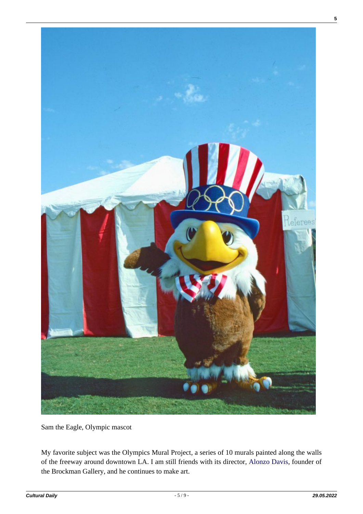

Sam the Eagle, Olympic mascot

My favorite subject was the Olympics Mural Project, a series of 10 murals painted along the walls of the freeway around downtown LA. I am still friends with its director, [Alonzo Davis,](http://alonzodavis.com/) founder of the Brockman Gallery, and he continues to make art.

**5**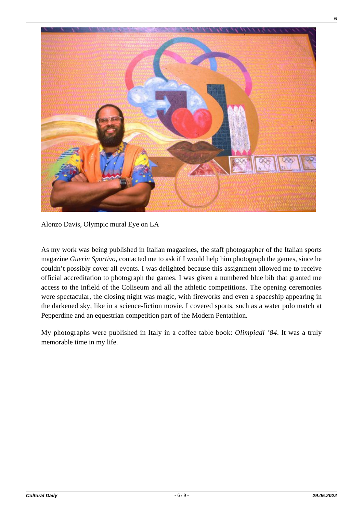

Alonzo Davis, Olympic mural Eye on LA

As my work was being published in Italian magazines, the staff photographer of the Italian sports magazine *Guerin Sportivo*, contacted me to ask if I would help him photograph the games, since he couldn't possibly cover all events. I was delighted because this assignment allowed me to receive official accreditation to photograph the games. I was given a numbered blue bib that granted me access to the infield of the Coliseum and all the athletic competitions. The opening ceremonies were spectacular, the closing night was magic, with fireworks and even a spaceship appearing in the darkened sky, like in a science-fiction movie. I covered sports, such as a water polo match at Pepperdine and an equestrian competition part of the Modern Pentathlon.

My photographs were published in Italy in a coffee table book: *Olimpiadi '84*. It was a truly memorable time in my life.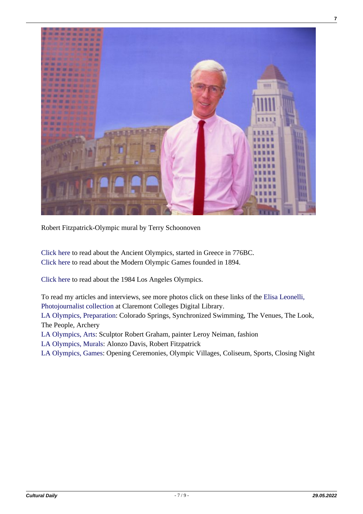

Robert Fitzpatrick-Olympic mural by Terry Schoonoven

[Click here](https://en.wikipedia.org/wiki/Ancient_Olympic_Games) to read about the Ancient Olympics, started in Greece in 776BC. [Click here](https://en.wikipedia.org/wiki/Olympic_Games) to read about the Modern Olympic Games founded in 1894.

[Click here](https://en.wikipedia.org/wiki/1984_Summer_Olympics) to read about the 1984 Los Angeles Olympics.

To read my articles and interviews, see more photos click on these links of the [Elisa Leonelli,](http://ccdl.libraries.claremont.edu/cdm/landingpage/collection/p15831coll13) [Photojournalist collection](http://ccdl.libraries.claremont.edu/cdm/landingpage/collection/p15831coll13) at Claremont Colleges Digital Library.

[LA Olympics, Preparation:](https://tinyurl.com/y89yxw9o) Colorado Springs, Synchronized Swimming, The Venues, The Look, The People, Archery

[LA Olympics, Arts](https://tinyurl.com/ybvzqrx2): Sculptor Robert Graham, painter Leroy Neiman, fashion

[LA Olympics, Murals](https://tinyurl.com/y7lsbf7q): Alonzo Davis, Robert Fitzpatrick

[LA Olympics, Games:](https://tinyurl.com/ybglajx6) Opening Ceremonies, Olympic Villages, Coliseum, Sports, Closing Night

**7**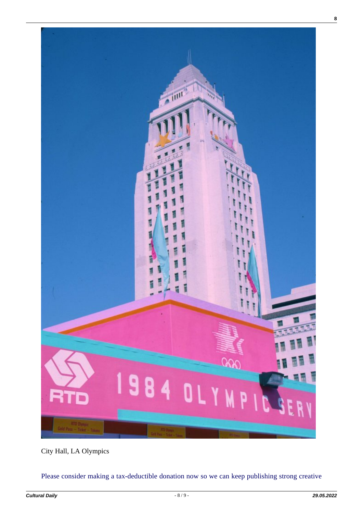

City Hall, LA Olympics

[Please consider making a tax-deductible donation now so we can keep publishing strong creative](https://nextecho.org/donate/)